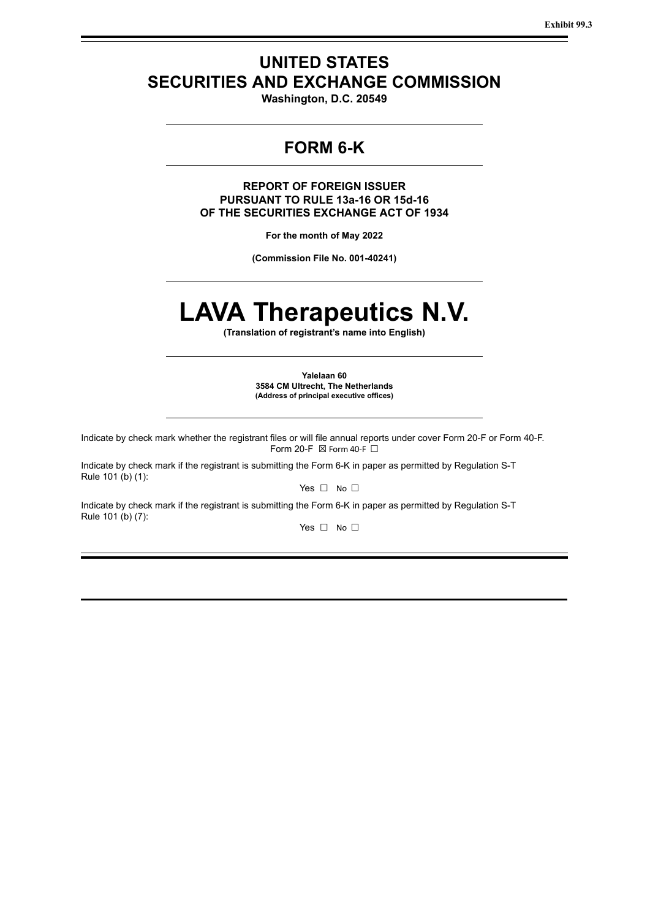**Exhibit 99.3**

# **UNITED STATES SECURITIES AND EXCHANGE COMMISSION**

**Washington, D.C. 20549**

# **FORM 6-K**

**REPORT OF FOREIGN ISSUER PURSUANT TO RULE 13a-16 OR 15d-16 OF THE SECURITIES EXCHANGE ACT OF 1934**

**For the month of May 2022**

**(Commission File No. 001-40241)**

# **LAVA Therapeutics N.V.**

**(Translation of registrant's name into English)**

**Yalelaan 60 3584 CM Ultrecht, The Netherlands (Address of principal executive offices)**

Indicate by check mark whether the registrant files or will file annual reports under cover Form 20-F or Form 40-F. Form 20-F  $\boxtimes$  Form 40-F  $\Box$ 

Indicate by check mark if the registrant is submitting the Form 6-K in paper as permitted by Regulation S-T Rule 101 (b) (1):

Yes □ No □

Indicate by check mark if the registrant is submitting the Form 6-K in paper as permitted by Regulation S-T Rule 101 (b) (7):

Yes □ No □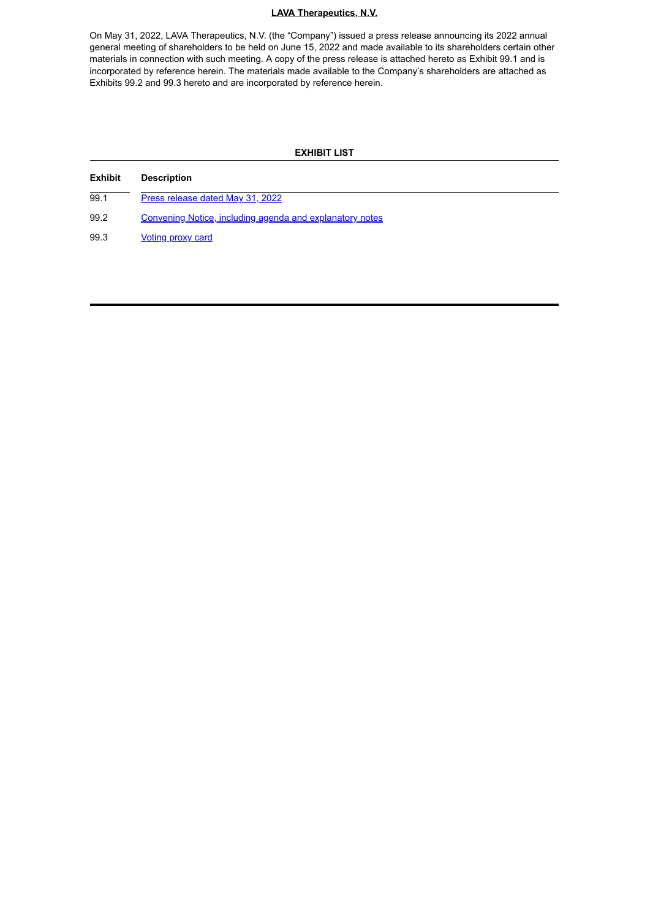#### **LAVA Therapeutics, N.V.**

On May 31, 2022, LAVA Therapeutics, N.V. (the "Company") issued a press release announcing its 2022 annual general meeting of shareholders to be held on June 15, 2022 and made available to its shareholders certain other materials in connection with such meeting. A copy of the press release is attached hereto as Exhibit 99.1 and is incorporated by reference herein. The materials made available to the Company's shareholders are attached as Exhibits 99.2 and 99.3 hereto and are incorporated by reference herein.

# **EXHIBIT LIST Exhibit Description** 99.1 Press [release](#page-3-0) dated May 31, 2022 99.2 Convening Notice, including agenda and [explanatory](#page-4-0) notes 99.3 [Voting](#page-9-0) proxy card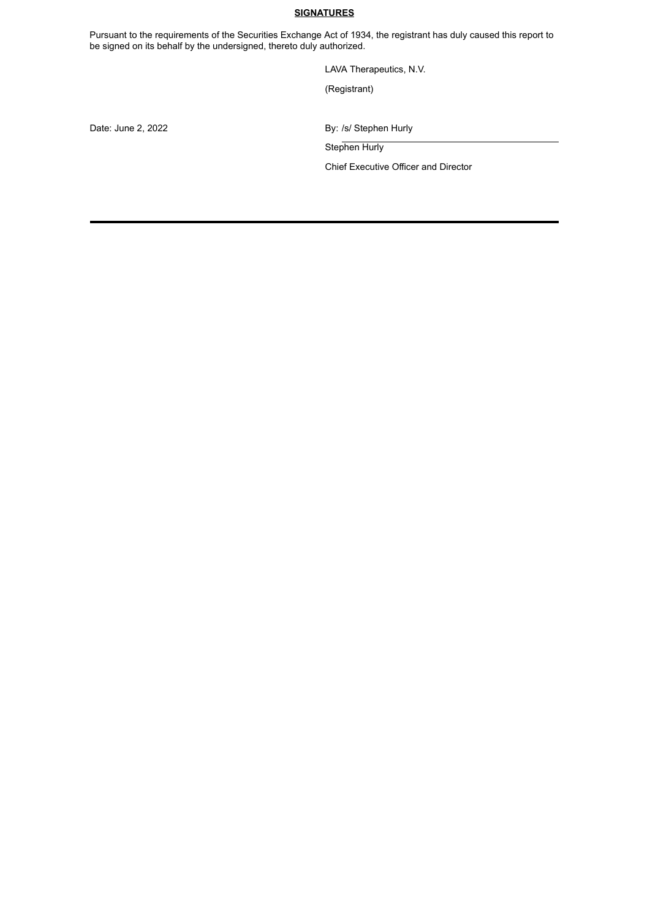# **SIGNATURES**

Pursuant to the requirements of the Securities Exchange Act of 1934, the registrant has duly caused this report to be signed on its behalf by the undersigned, thereto duly authorized.

LAVA Therapeutics, N.V.

(Registrant)

Date: June 2, 2022 **By:** /s/ Stephen Hurly

Stephen Hurly

Chief Executive Officer and Director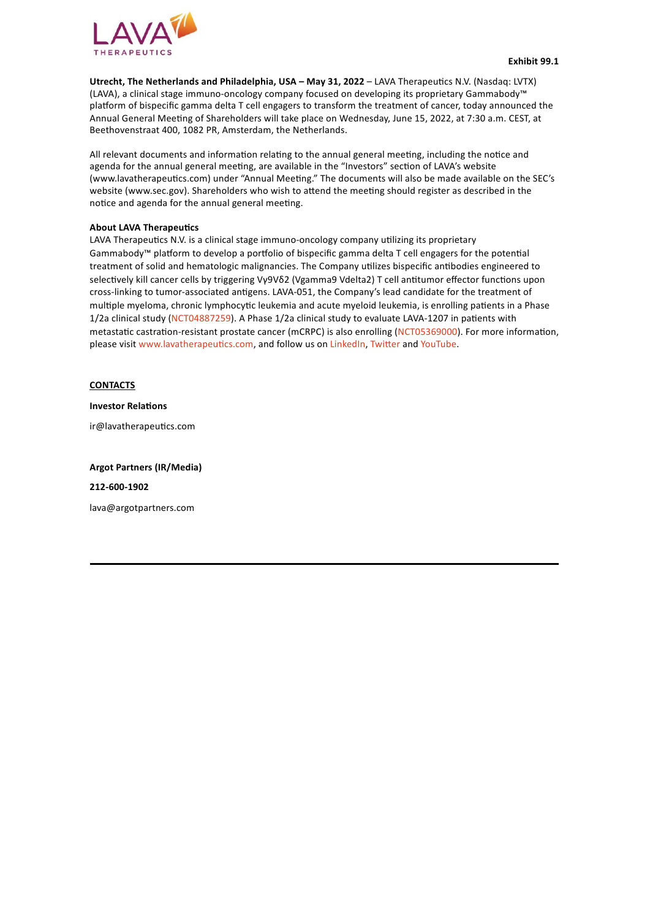<span id="page-3-0"></span>

**Utrecht, The Netherlands and Philadelphia, USA – May 31, 2022** – LAVA Therapeutics N.V. (Nasdaq: LVTX) (LAVA), a clinical stage immuno-oncology company focused on developing its proprietary Gammabody™ platform of bispecific gamma delta T cell engagers to transform the treatment of cancer, today announced the Annual General Meeting of Shareholders will take place on Wednesday, June 15, 2022, at 7:30 a.m. CEST, at Beethovenstraat 400, 1082 PR, Amsterdam, the Netherlands.

All relevant documents and information relating to the annual general meeting, including the notice and agenda for the annual general meeting, are available in the "Investors" section of LAVA's website (www.lavatherapeutics.com) under "Annual Meeting." The documents will also be made available on the SEC's website (www.sec.gov). Shareholders who wish to attend the meeting should register as described in the notice and agenda for the annual general meeting.

#### **About LAVA Therapeutics**

LAVA Therapeutics N.V. is a clinical stage immuno-oncology company utilizing its proprietary Gammabody™ platform to develop a portfolio of bispecific gamma delta T cell engagers for the potential treatment of solid and hematologic malignancies. The Company utilizes bispecific antibodies engineered to selectively kill cancer cells by triggering Vγ9Vδ2 (Vgamma9 Vdelta2) T cell antitumor effector functions upon cross-linking to tumor-associated antigens. LAVA-051, the Company's lead candidate for the treatment of multiple myeloma, chronic lymphocytic leukemia and acute myeloid leukemia, is enrolling patients in a Phase 1/2a clinical study (NCT04887259). A Phase 1/2a clinical study to evaluate LAVA-1207 in patients with metastatic castration-resistant prostate cancer (mCRPC) is also enrolling (NCT05369000). For more information, please visit www.lavatherapeutics.com, and follow us on LinkedIn, Twitter and YouTube.

**CONTACTS**

**Investor Relations**

ir@lavatherapeutics.com

**Argot Partners (IR/Media)**

**212-600-1902**

lava@argotpartners.com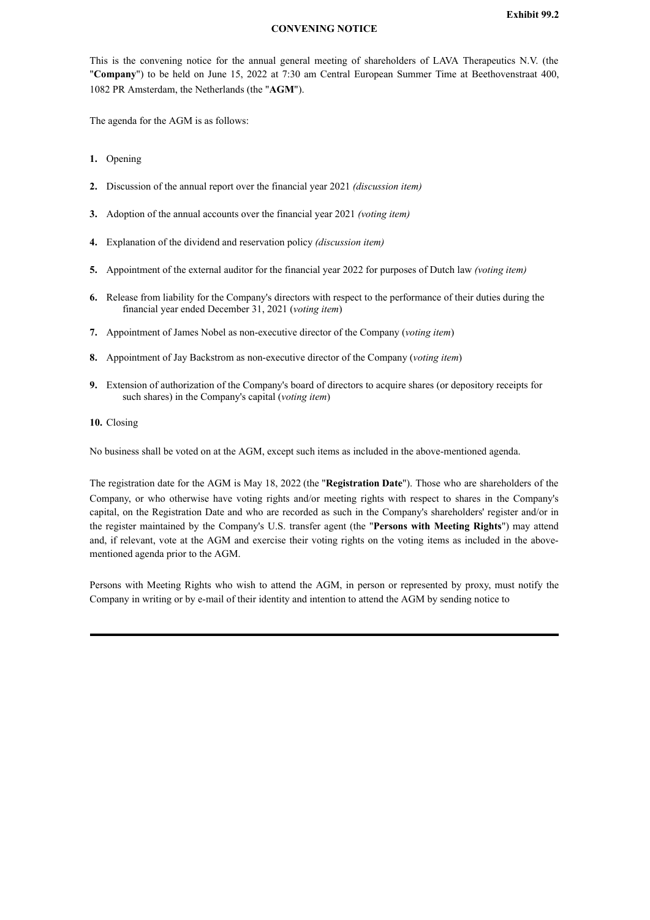# **CONVENING NOTICE**

<span id="page-4-0"></span>This is the convening notice for the annual general meeting of shareholders of LAVA Therapeutics N.V. (the "**Company**") to be held on June 15, 2022 at 7:30 am Central European Summer Time at Beethovenstraat 400, 1082 PR Amsterdam, the Netherlands (the "**AGM**").

The agenda for the AGM is as follows:

- **1.** Opening
- **2.** Discussion of the annual report over the financial year 2021 *(discussion item)*
- **3.** Adoption of the annual accounts over the financial year 2021 *(voting item)*
- **4.** Explanation of the dividend and reservation policy *(discussion item)*
- **5.** Appointment of the external auditor for the financial year 2022 for purposes of Dutch law *(voting item)*
- **6.** Release from liability for the Company's directors with respect to the performance of their duties during the financial year ended December 31, 2021 (*voting item*)
- **7.** Appointment of James Nobel as non-executive director of the Company (*voting item*)
- **8.** Appointment of Jay Backstrom as non-executive director of the Company (*voting item*)
- **9.** Extension of authorization of the Company's board of directors to acquire shares (or depository receipts for such shares) in the Company's capital (*voting item*)
- **10.** Closing

No business shall be voted on at the AGM, except such items as included in the above-mentioned agenda.

The registration date for the AGM is May 18, 2022 (the "**Registration Date**"). Those who are shareholders of the Company, or who otherwise have voting rights and/or meeting rights with respect to shares in the Company's capital, on the Registration Date and who are recorded as such in the Company's shareholders' register and/or in the register maintained by the Company's U.S. transfer agent (the "**Persons with Meeting Rights**") may attend and, if relevant, vote at the AGM and exercise their voting rights on the voting items as included in the abovementioned agenda prior to the AGM.

Persons with Meeting Rights who wish to attend the AGM, in person or represented by proxy, must notify the Company in writing or by e-mail of their identity and intention to attend the AGM by sending notice to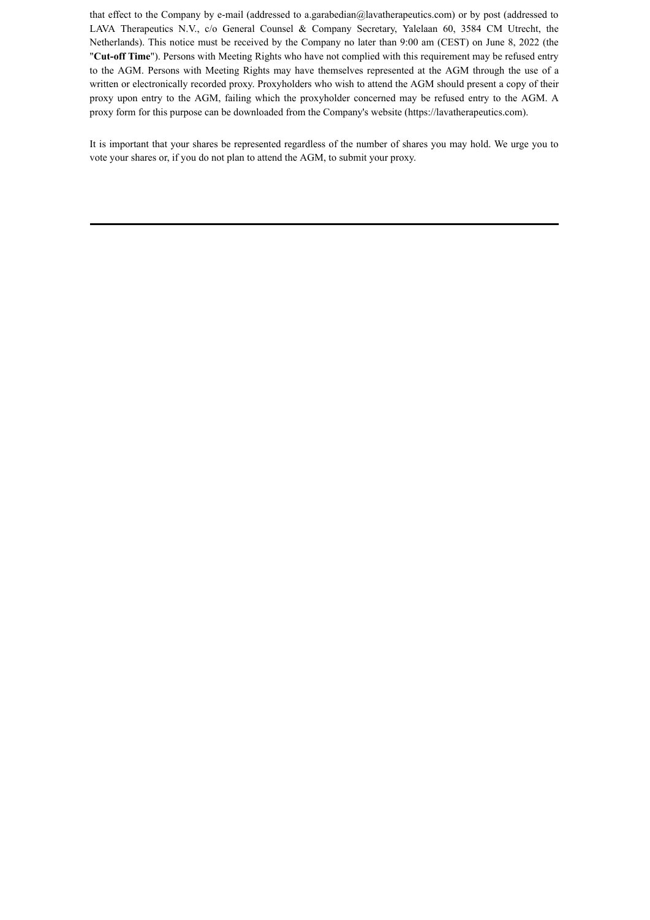that effect to the Company by e-mail (addressed to a.garabedian@lavatherapeutics.com) or by post (addressed to LAVA Therapeutics N.V., c/o General Counsel & Company Secretary, Yalelaan 60, 3584 CM Utrecht, the Netherlands). This notice must be received by the Company no later than 9:00 am (CEST) on June 8, 2022 (the "**Cut-off Time**"). Persons with Meeting Rights who have not complied with this requirement may be refused entry to the AGM. Persons with Meeting Rights may have themselves represented at the AGM through the use of a written or electronically recorded proxy. Proxyholders who wish to attend the AGM should present a copy of their proxy upon entry to the AGM, failing which the proxyholder concerned may be refused entry to the AGM. A proxy form for this purpose can be downloaded from the Company's website (https://lavatherapeutics.com).

It is important that your shares be represented regardless of the number of shares you may hold. We urge you to vote your shares or, if you do not plan to attend the AGM, to submit your proxy.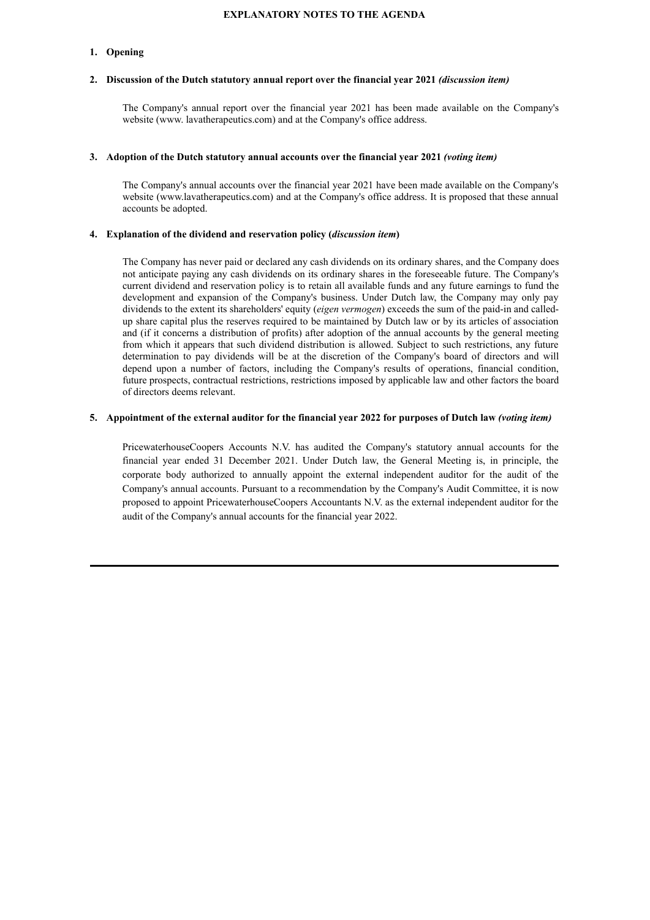#### **EXPLANATORY NOTES TO THE AGENDA**

## **1. Opening**

#### **2. Discussion of the Dutch statutory annual report over the financial year 2021** *(discussion item)*

The Company's annual report over the financial year 2021 has been made available on the Company's website (www. lavatherapeutics.com) and at the Company's office address.

#### **3. Adoption of the Dutch statutory annual accounts over the financial year 2021** *(voting item)*

The Company's annual accounts over the financial year 2021 have been made available on the Company's website (www.lavatherapeutics.com) and at the Company's office address. It is proposed that these annual accounts be adopted.

#### **4. Explanation of the dividend and reservation policy (***discussion item***)**

The Company has never paid or declared any cash dividends on its ordinary shares, and the Company does not anticipate paying any cash dividends on its ordinary shares in the foreseeable future. The Company's current dividend and reservation policy is to retain all available funds and any future earnings to fund the development and expansion of the Company's business. Under Dutch law, the Company may only pay dividends to the extent its shareholders' equity (*eigen vermogen*) exceeds the sum of the paid-in and calledup share capital plus the reserves required to be maintained by Dutch law or by its articles of association and (if it concerns a distribution of profits) after adoption of the annual accounts by the general meeting from which it appears that such dividend distribution is allowed. Subject to such restrictions, any future determination to pay dividends will be at the discretion of the Company's board of directors and will depend upon a number of factors, including the Company's results of operations, financial condition, future prospects, contractual restrictions, restrictions imposed by applicable law and other factors the board of directors deems relevant.

#### 5. Appointment of the external auditor for the financial year 2022 for purposes of Dutch law (voting item)

PricewaterhouseCoopers Accounts N.V. has audited the Company's statutory annual accounts for the financial year ended 31 December 2021. Under Dutch law, the General Meeting is, in principle, the corporate body authorized to annually appoint the external independent auditor for the audit of the Company's annual accounts. Pursuant to a recommendation by the Company's Audit Committee, it is now proposed to appoint PricewaterhouseCoopers Accountants N.V. as the external independent auditor for the audit of the Company's annual accounts for the financial year 2022.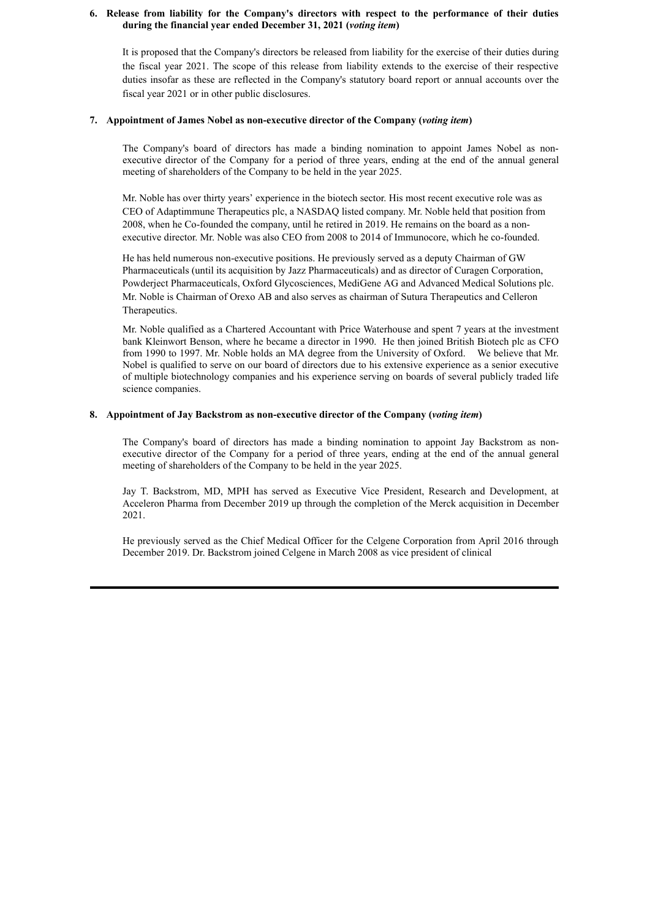### **6. Release from liability for the Company's directors with respect to the performance of their duties during the financial year ended December 31, 2021 (***voting item***)**

It is proposed that the Company's directors be released from liability for the exercise of their duties during the fiscal year 2021. The scope of this release from liability extends to the exercise of their respective duties insofar as these are reflected in the Company's statutory board report or annual accounts over the fiscal year 2021 or in other public disclosures.

#### **7. Appointment of James Nobel as non-executive director of the Company (***voting item***)**

The Company's board of directors has made a binding nomination to appoint James Nobel as nonexecutive director of the Company for a period of three years, ending at the end of the annual general meeting of shareholders of the Company to be held in the year 2025.

Mr. Noble has over thirty years' experience in the biotech sector. His most recent executive role was as CEO of Adaptimmune Therapeutics plc, a NASDAQ listed company. Mr. Noble held that position from 2008, when he Co-founded the company, until he retired in 2019. He remains on the board as a nonexecutive director. Mr. Noble was also CEO from 2008 to 2014 of Immunocore, which he co-founded.

He has held numerous non-executive positions. He previously served as a deputy Chairman of GW Pharmaceuticals (until its acquisition by Jazz Pharmaceuticals) and as director of Curagen Corporation, Powderject Pharmaceuticals, Oxford Glycosciences, MediGene AG and Advanced Medical Solutions plc. Mr. Noble is Chairman of Orexo AB and also serves as chairman of Sutura Therapeutics and Celleron Therapeutics.

Mr. Noble qualified as a Chartered Accountant with Price Waterhouse and spent 7 years at the investment bank Kleinwort Benson, where he became a director in 1990. He then joined British Biotech plc as CFO from 1990 to 1997. Mr. Noble holds an MA degree from the University of Oxford. We believe that Mr. Nobel is qualified to serve on our board of directors due to his extensive experience as a senior executive of multiple biotechnology companies and his experience serving on boards of several publicly traded life science companies.

## **8. Appointment of Jay Backstrom as non-executive director of the Company (***voting item***)**

The Company's board of directors has made a binding nomination to appoint Jay Backstrom as nonexecutive director of the Company for a period of three years, ending at the end of the annual general meeting of shareholders of the Company to be held in the year 2025.

Jay T. Backstrom, MD, MPH has served as Executive Vice President, Research and Development, at Acceleron Pharma from December 2019 up through the completion of the Merck acquisition in December 2021.

He previously served as the Chief Medical Officer for the Celgene Corporation from April 2016 through December 2019. Dr. Backstrom joined Celgene in March 2008 as vice president of clinical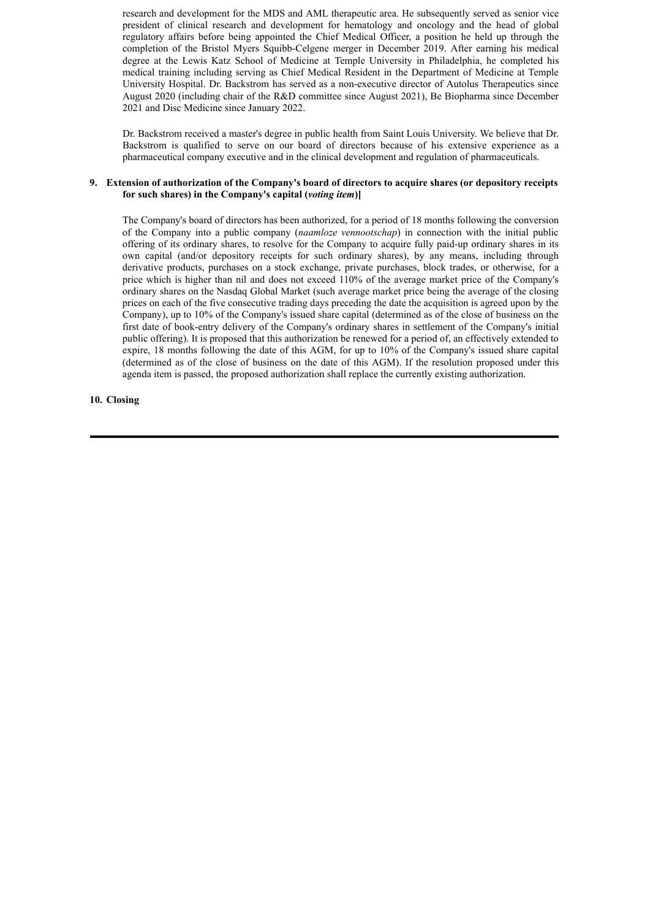research and development for the MDS and AML therapeutic area. He subsequently served as senior vice president of clinical research and development for hematology and oncology and the head of global regulatory affairs before being appointed the Chief Medical Officer, a position he held up through the completion of the Bristol Myers Squibb-Celgene merger in December 2019. After earning his medical degree at the Lewis Katz School of Medicine at Temple University in Philadelphia, he completed his medical training including serving as Chief Medical Resident in the Department of Medicine at Temple University Hospital. Dr. Backstrom has served as a non-executive director of Autolus Therapeutics since August 2020 (including chair of the R&D committee since August 2021), Be Biopharma since December 2021 and Disc Medicine since January 2022.

Dr. Backstrom received a master's degree in public health from Saint Louis University. We believe that Dr. Backstrom is qualified to serve on our board of directors because of his extensive experience as a pharmaceutical company executive and in the clinical development and regulation of pharmaceuticals.

#### **9. Extension of authorization of the Company's board of directors to acquire shares (or depository receipts for such shares) in the Company's capital (***voting item***)]**

The Company's board of directors has been authorized, for a period of 18 months following the conversion of the Company into a public company (*naamloze vennootschap*) in connection with the initial public offering of its ordinary shares, to resolve for the Company to acquire fully paid-up ordinary shares in its own capital (and/or depository receipts for such ordinary shares), by any means, including through derivative products, purchases on a stock exchange, private purchases, block trades, or otherwise, for a price which is higher than nil and does not exceed 110% of the average market price of the Company's ordinary shares on the Nasdaq Global Market (such average market price being the average of the closing prices on each of the five consecutive trading days preceding the date the acquisition is agreed upon by the Company), up to 10% of the Company's issued share capital (determined as of the close of business on the first date of book-entry delivery of the Company's ordinary shares in settlement of the Company's initial public offering). It is proposed that this authorization be renewed for a period of, an effectively extended to expire, 18 months following the date of this AGM, for up to 10% of the Company's issued share capital (determined as of the close of business on the date of this AGM). If the resolution proposed under this agenda item is passed, the proposed authorization shall replace the currently existing authorization.

# **10. Closing**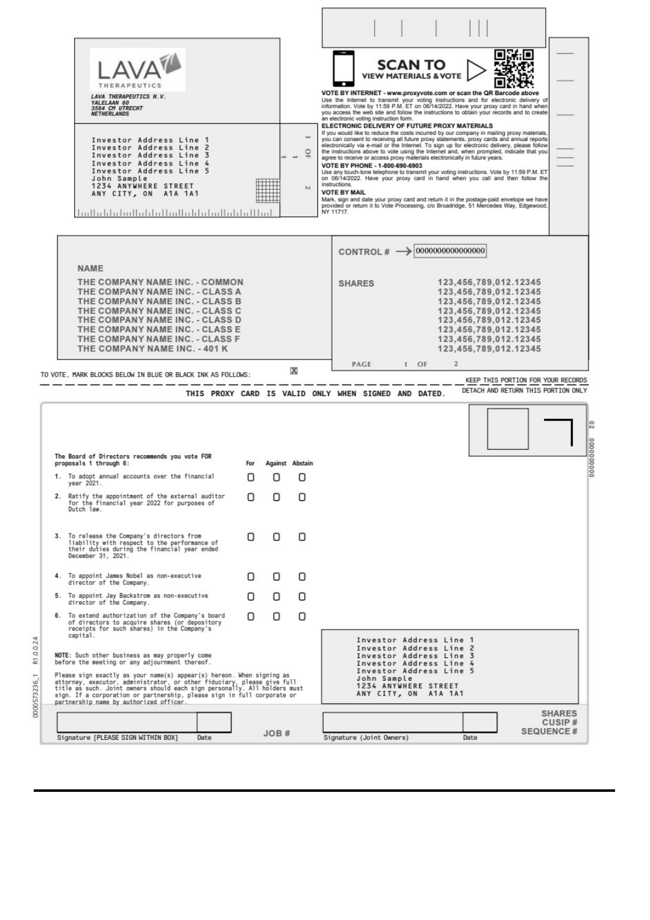<span id="page-9-0"></span>

| LAVA THERAPEUTICS N.V.<br>YALELAAN 60<br>3584 CM UTRECHT<br><b>NETHERLANDS</b><br>Investor Address Line 1<br>Investor Address Line 2<br>Investor Address Line 3<br>Investor Address Line 4<br>Investor Address Line 5<br>John Sample<br>1234 ANYWHERE STREET<br>ANY CITY, ON A1A 1A1<br><u>hallahlabullahlalladlahlahdallahlalllar</u>                                                                                   |                                                      |             | O<br>N          | VOTE BY INTERNET - www.proxyvote.com or scan the QR Barcode above<br>Use the Internet to transmit your voting instructions and for electronic delivery of<br>information. Vote by 11:59 P.M. ET on 06/14/2022. Have your proxy card in hand when<br>you access the web site and follow the instructions to obtain your records and to create<br>an electronic voting instruction form.<br>ELECTRONIC DELIVERY OF FUTURE PROXY MATERIALS<br>If you would like to reduce the costs incurred by our company in mailing proxy materials,<br>you can consent to receiving all future proxy statements, proxy cards and annual reports<br>electronically via e-mail or the Internet. To sign up for electronic delivery, please follow<br>the instructions above to vote using the Internet and, when prompted, indicate that you<br>agree to receive or access proxy materials electronically in future years.<br>VOTE BY PHONE - 1-800-690-6903<br>Use any touch-tone telephone to transmit your voting instructions. Vote by 11:59 P.M. ET<br>on 06/14/2022. Have your proxy card in hand when you call and then follow the<br>instructions.<br><b>VOTE BY MAIL</b><br>Mark, sign and date your proxy card and return it in the postage-paid envelope we have<br>provided or return it to Vote Processing, c/o Broadridge, 51 Mercedes Way, Edgewood,<br>NY 11717. | <b>SCAN TO</b><br><b>VIEW MATERIALS &amp; VOTE</b> |        |                  |                                                                                                                                                                                                      |                                     |  |
|--------------------------------------------------------------------------------------------------------------------------------------------------------------------------------------------------------------------------------------------------------------------------------------------------------------------------------------------------------------------------------------------------------------------------|------------------------------------------------------|-------------|-----------------|-----------------------------------------------------------------------------------------------------------------------------------------------------------------------------------------------------------------------------------------------------------------------------------------------------------------------------------------------------------------------------------------------------------------------------------------------------------------------------------------------------------------------------------------------------------------------------------------------------------------------------------------------------------------------------------------------------------------------------------------------------------------------------------------------------------------------------------------------------------------------------------------------------------------------------------------------------------------------------------------------------------------------------------------------------------------------------------------------------------------------------------------------------------------------------------------------------------------------------------------------------------------------------------------------------------------------------------------------------------------|----------------------------------------------------|--------|------------------|------------------------------------------------------------------------------------------------------------------------------------------------------------------------------------------------------|-------------------------------------|--|
|                                                                                                                                                                                                                                                                                                                                                                                                                          |                                                      |             |                 |                                                                                                                                                                                                                                                                                                                                                                                                                                                                                                                                                                                                                                                                                                                                                                                                                                                                                                                                                                                                                                                                                                                                                                                                                                                                                                                                                                 |                                                    |        | 0000000000000000 |                                                                                                                                                                                                      |                                     |  |
| <b>NAME</b>                                                                                                                                                                                                                                                                                                                                                                                                              |                                                      |             |                 | CONTROL# -                                                                                                                                                                                                                                                                                                                                                                                                                                                                                                                                                                                                                                                                                                                                                                                                                                                                                                                                                                                                                                                                                                                                                                                                                                                                                                                                                      |                                                    |        |                  |                                                                                                                                                                                                      |                                     |  |
| THE COMPANY NAME INC. - COMMON<br>THE COMPANY NAME INC. - CLASS A<br>THE COMPANY NAME INC. - CLASS B<br>THE COMPANY NAME INC. - CLASS C<br>THE COMPANY NAME INC. - CLASS D<br>THE COMPANY NAME INC. - CLASS E<br>THE COMPANY NAME INC. - CLASS F<br>THE COMPANY NAME INC. - 401 K                                                                                                                                        |                                                      |             |                 | <b>SHARES</b>                                                                                                                                                                                                                                                                                                                                                                                                                                                                                                                                                                                                                                                                                                                                                                                                                                                                                                                                                                                                                                                                                                                                                                                                                                                                                                                                                   |                                                    |        |                  | 123,456,789,012.12345<br>123,456,789,012.12345<br>123,456,789,012.12345<br>123,456,789,012.12345<br>123,456,789,012.12345<br>123,456,789,012.12345<br>123,456,789,012.12345<br>123,456,789,012.12345 |                                     |  |
|                                                                                                                                                                                                                                                                                                                                                                                                                          |                                                      |             |                 | PAGE                                                                                                                                                                                                                                                                                                                                                                                                                                                                                                                                                                                                                                                                                                                                                                                                                                                                                                                                                                                                                                                                                                                                                                                                                                                                                                                                                            |                                                    | $1$ OF | $\mathbf{2}$     |                                                                                                                                                                                                      |                                     |  |
| TO VOTE, MARK BLOCKS BELOW IN BLUE OR BLACK INK AS FOLLOWS:                                                                                                                                                                                                                                                                                                                                                              |                                                      |             | x               |                                                                                                                                                                                                                                                                                                                                                                                                                                                                                                                                                                                                                                                                                                                                                                                                                                                                                                                                                                                                                                                                                                                                                                                                                                                                                                                                                                 |                                                    |        |                  |                                                                                                                                                                                                      |                                     |  |
|                                                                                                                                                                                                                                                                                                                                                                                                                          |                                                      |             |                 |                                                                                                                                                                                                                                                                                                                                                                                                                                                                                                                                                                                                                                                                                                                                                                                                                                                                                                                                                                                                                                                                                                                                                                                                                                                                                                                                                                 |                                                    |        |                  |                                                                                                                                                                                                      | KEEP THIS PORTION FOR YOUR RECORDS  |  |
|                                                                                                                                                                                                                                                                                                                                                                                                                          | THIS PROXY CARD IS VALID ONLY WHEN SIGNED AND DATED. |             |                 |                                                                                                                                                                                                                                                                                                                                                                                                                                                                                                                                                                                                                                                                                                                                                                                                                                                                                                                                                                                                                                                                                                                                                                                                                                                                                                                                                                 |                                                    |        |                  |                                                                                                                                                                                                      | DETACH AND RETURN THIS PORTION ONLY |  |
|                                                                                                                                                                                                                                                                                                                                                                                                                          |                                                      |             |                 |                                                                                                                                                                                                                                                                                                                                                                                                                                                                                                                                                                                                                                                                                                                                                                                                                                                                                                                                                                                                                                                                                                                                                                                                                                                                                                                                                                 |                                                    |        |                  |                                                                                                                                                                                                      |                                     |  |
| The Board of Directors recommends you vote FOR<br>proposals 1 through 6:                                                                                                                                                                                                                                                                                                                                                 |                                                      | For         | Against Abstain |                                                                                                                                                                                                                                                                                                                                                                                                                                                                                                                                                                                                                                                                                                                                                                                                                                                                                                                                                                                                                                                                                                                                                                                                                                                                                                                                                                 |                                                    |        |                  |                                                                                                                                                                                                      |                                     |  |
| 1. To adopt annual accounts over the financial<br>year 2021.                                                                                                                                                                                                                                                                                                                                                             |                                                      | Π<br>$\Box$ | Ο               |                                                                                                                                                                                                                                                                                                                                                                                                                                                                                                                                                                                                                                                                                                                                                                                                                                                                                                                                                                                                                                                                                                                                                                                                                                                                                                                                                                 |                                                    |        |                  |                                                                                                                                                                                                      |                                     |  |
| 2. Ratify the appointment of the external auditor<br>for the financial year 2022 for purposes of<br>Dutch law.                                                                                                                                                                                                                                                                                                           |                                                      | Ω<br>Ο      | Ω               |                                                                                                                                                                                                                                                                                                                                                                                                                                                                                                                                                                                                                                                                                                                                                                                                                                                                                                                                                                                                                                                                                                                                                                                                                                                                                                                                                                 |                                                    |        |                  |                                                                                                                                                                                                      |                                     |  |
| 3. To release the Company's directors from<br>liability with respect to the performance of<br>their duties during the financial year ended<br>December 31, 2021.                                                                                                                                                                                                                                                         |                                                      | Ω<br>0      | Π               |                                                                                                                                                                                                                                                                                                                                                                                                                                                                                                                                                                                                                                                                                                                                                                                                                                                                                                                                                                                                                                                                                                                                                                                                                                                                                                                                                                 |                                                    |        |                  |                                                                                                                                                                                                      |                                     |  |
| 4. To appoint James Nobel as non-executive                                                                                                                                                                                                                                                                                                                                                                               |                                                      | Ω<br>O      | Π               |                                                                                                                                                                                                                                                                                                                                                                                                                                                                                                                                                                                                                                                                                                                                                                                                                                                                                                                                                                                                                                                                                                                                                                                                                                                                                                                                                                 |                                                    |        |                  |                                                                                                                                                                                                      |                                     |  |
| director of the Company.<br>5. To appoint Jay Backstrom as non-executive                                                                                                                                                                                                                                                                                                                                                 |                                                      | Ω<br>Π      | Ο               |                                                                                                                                                                                                                                                                                                                                                                                                                                                                                                                                                                                                                                                                                                                                                                                                                                                                                                                                                                                                                                                                                                                                                                                                                                                                                                                                                                 |                                                    |        |                  |                                                                                                                                                                                                      |                                     |  |
| director of the Company.<br>6. To extend authorization of the Company's board<br>of directors to acquire shares (or depository<br>receipts for such shares) in the Company's                                                                                                                                                                                                                                             |                                                      | ο<br>Π      | ο               |                                                                                                                                                                                                                                                                                                                                                                                                                                                                                                                                                                                                                                                                                                                                                                                                                                                                                                                                                                                                                                                                                                                                                                                                                                                                                                                                                                 |                                                    |        |                  |                                                                                                                                                                                                      |                                     |  |
| capital.<br>NOTE: Such other business as may properly come<br>before the meeting or any adjournment thereof.<br>Please sign exactly as your name(s) appear(s) hereon. When signing as<br>attorney, executor, administrator, or other fiduciary, please give full<br>title as such. Joint owners should each sign personally. All holders must<br>sign. If a corporation or partnership, please sign in full corporate or |                                                      |             |                 | Investor Address Line 1<br>Investor Address Line 2<br>Investor Address Line 3<br>Investor Address Line 4<br>Investor Address Line 5<br>John Sample<br>1234 ANYWHERE STREET<br>ANY CITY, ON A1A 1A1                                                                                                                                                                                                                                                                                                                                                                                                                                                                                                                                                                                                                                                                                                                                                                                                                                                                                                                                                                                                                                                                                                                                                              |                                                    |        |                  |                                                                                                                                                                                                      |                                     |  |
| partnership name by authorized officer.                                                                                                                                                                                                                                                                                                                                                                                  |                                                      |             |                 |                                                                                                                                                                                                                                                                                                                                                                                                                                                                                                                                                                                                                                                                                                                                                                                                                                                                                                                                                                                                                                                                                                                                                                                                                                                                                                                                                                 |                                                    |        |                  |                                                                                                                                                                                                      | <b>SHARES</b><br><b>CUSIP#</b>      |  |

ι